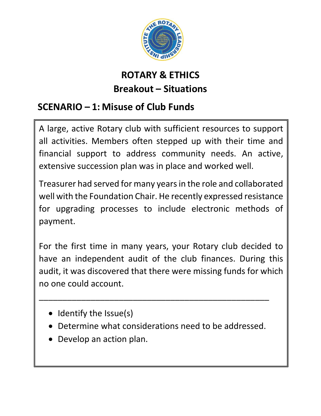

# **ROTARY & ETHICS Breakout – Situations**

### **SCENARIO – 1: Misuse of Club Funds**

A large, active Rotary club with sufficient resources to support all activities. Members often stepped up with their time and financial support to address community needs. An active, extensive succession plan was in place and worked well.

Treasurer had served for many years in the role and collaborated well with the Foundation Chair. He recently expressed resistance for upgrading processes to include electronic methods of payment.

For the first time in many years, your Rotary club decided to have an independent audit of the club finances. During this audit, it was discovered that there were missing funds for which no one could account.

- Identify the Issue(s)
- Determine what considerations need to be addressed.

\_\_\_\_\_\_\_\_\_\_\_\_\_\_\_\_\_\_\_\_\_\_\_\_\_\_\_\_\_\_\_\_\_\_\_\_\_\_\_\_\_\_\_\_\_\_\_\_\_

• Develop an action plan.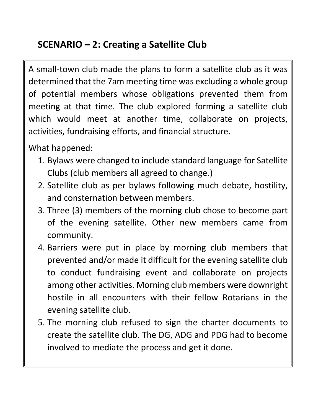## **SCENARIO – 2: Creating a Satellite Club**

A small-town club made the plans to form a satellite club as it was determined that the 7am meeting time was excluding a whole group of potential members whose obligations prevented them from meeting at that time. The club explored forming a satellite club which would meet at another time, collaborate on projects, activities, fundraising efforts, and financial structure.

What happened:

- 1. Bylaws were changed to include standard language for Satellite Clubs (club members all agreed to change.)
- 2. Satellite club as per bylaws following much debate, hostility, and consternation between members.
- 3. Three (3) members of the morning club chose to become part of the evening satellite. Other new members came from community.
- 4. Barriers were put in place by morning club members that prevented and/or made it difficult for the evening satellite club to conduct fundraising event and collaborate on projects among other activities. Morning club members were downright hostile in all encounters with their fellow Rotarians in the evening satellite club.
- 5. The morning club refused to sign the charter documents to create the satellite club. The DG, ADG and PDG had to become involved to mediate the process and get it done.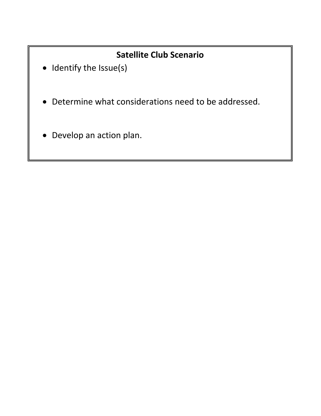### **Satellite Club Scenario**

- Identify the Issue(s)
- Determine what considerations need to be addressed.
- Develop an action plan.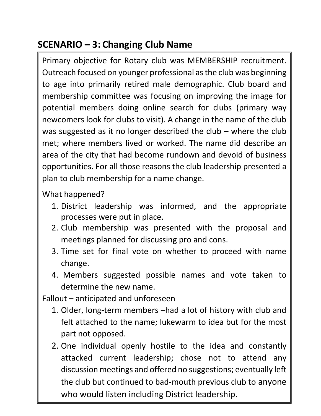## **SCENARIO – 3: Changing Club Name**

Primary objective for Rotary club was MEMBERSHIP recruitment. Outreach focused on younger professional as the club was beginning to age into primarily retired male demographic. Club board and membership committee was focusing on improving the image for potential members doing online search for clubs (primary way newcomers look for clubs to visit). A change in the name of the club was suggested as it no longer described the club – where the club met; where members lived or worked. The name did describe an area of the city that had become rundown and devoid of business opportunities. For all those reasons the club leadership presented a plan to club membership for a name change.

What happened?

- 1. District leadership was informed, and the appropriate processes were put in place.
- 2. Club membership was presented with the proposal and meetings planned for discussing pro and cons.
- 3. Time set for final vote on whether to proceed with name change.
- 4. Members suggested possible names and vote taken to determine the new name.

Fallout – anticipated and unforeseen

- 1. Older, long-term members –had a lot of history with club and felt attached to the name; lukewarm to idea but for the most part not opposed.
- 2. One individual openly hostile to the idea and constantly attacked current leadership; chose not to attend any discussion meetings and offered no suggestions; eventually left the club but continued to bad-mouth previous club to anyone who would listen including District leadership.